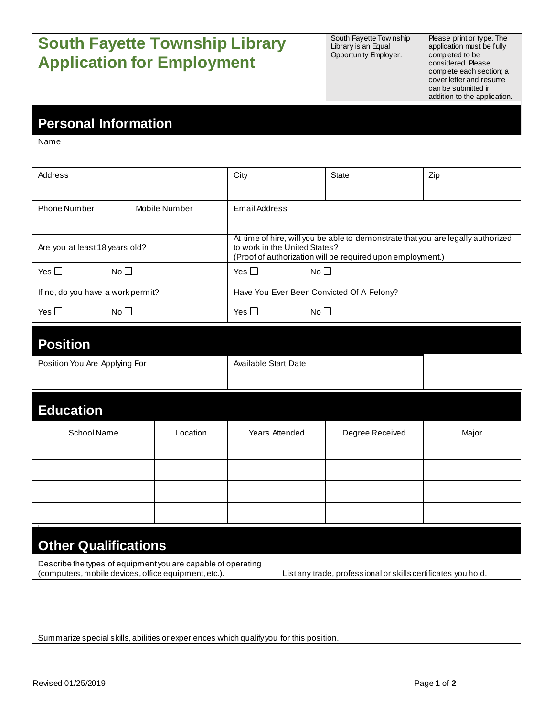# **South Fayette Township Library Application for Employment**

South Fayette Tow nship Library is an Equal Opportunity Employer.

Please print or type. The application must be fully completed to be considered. Please complete each section; a cover letter and resume can be submitted in addition to the application.

### **Personal Information**

Name

| Address                           |               | City                                                                                                                                                                            | State | Zip |
|-----------------------------------|---------------|---------------------------------------------------------------------------------------------------------------------------------------------------------------------------------|-------|-----|
| <b>Phone Number</b>               | Mobile Number | Email Address                                                                                                                                                                   |       |     |
| Are you at least 18 years old?    |               | At time of hire, will you be able to demonstrate that you are legally authorized<br>to work in the United States?<br>(Proof of authorization will be required upon employment.) |       |     |
| No <sub>1</sub><br>Yes $\Box$     |               | Yes $\square$<br>No <sub>1</sub>                                                                                                                                                |       |     |
| If no, do you have a work permit? |               | Have You Ever Been Convicted Of A Felony?                                                                                                                                       |       |     |
| Yes $\Box$<br>No <sub>1</sub>     |               | Yes $\Box$<br>No <sub>1</sub>                                                                                                                                                   |       |     |

#### **Position**

| Position You Are Applying For | Available Start Date |  |
|-------------------------------|----------------------|--|
|                               |                      |  |

| <b>Education</b> |          |                |                 |       |
|------------------|----------|----------------|-----------------|-------|
| School Name      | Location | Years Attended | Degree Received | Major |
|                  |          |                |                 |       |
|                  |          |                |                 |       |
|                  |          |                |                 |       |
|                  |          |                |                 |       |

| <b>Other Qualifications</b>                                                                                          |                                                               |
|----------------------------------------------------------------------------------------------------------------------|---------------------------------------------------------------|
| Describe the types of equipment you are capable of operating<br>(computers, mobile devices, office equipment, etc.). | List any trade, professional or skills certificates you hold. |
|                                                                                                                      |                                                               |
|                                                                                                                      |                                                               |
|                                                                                                                      |                                                               |

Summarize special skills, abilities or experiences which qualify you for this position.